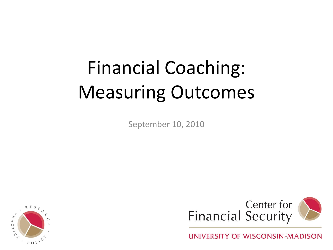# Financial Coaching: Measuring Outcomes

September 10, 2010





UNIVERSITY OF WISCONSIN-MADISON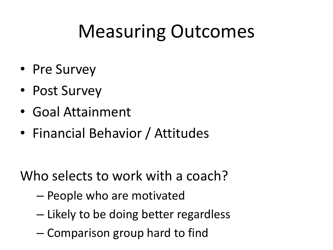# Measuring Outcomes

- Pre Survey
- Post Survey
- Goal Attainment
- Financial Behavior / Attitudes

Who selects to work with a coach?

- People who are motivated
- Likely to be doing better regardless
- Comparison group hard to find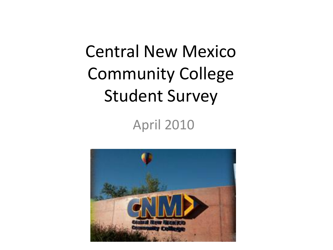## Central New Mexico Community College Student Survey

### April 2010

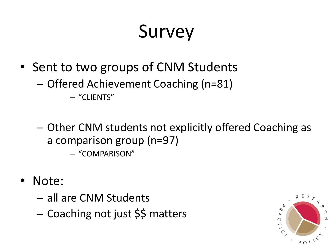# Survey

- Sent to two groups of CNM Students
	- Offered Achievement Coaching (n=81)

– "CLIENTS"

– Other CNM students not explicitly offered Coaching as a comparison group (n=97)

– "COMPARISON"

- Note:
	- all are CNM Students
	- Coaching not just \$\$ matters

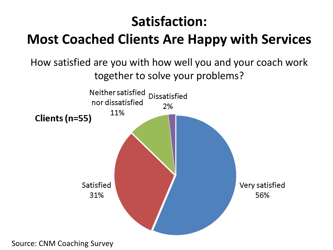### **Satisfaction:**

### **Most Coached Clients Are Happy with Services**

#### How satisfied are you with how well you and your coach work together to solve your problems?

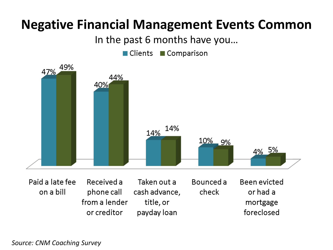### **Negative Financial Management Events Common**

In the past 6 months have you…

 $\blacksquare$  Clients ■ Comparison



Paid a late fee Received a Taken out a Bounced a Been evicted on a bill phone call cash advance, check or had a from a lender title, or mortgage foreclosed or creditor payday loan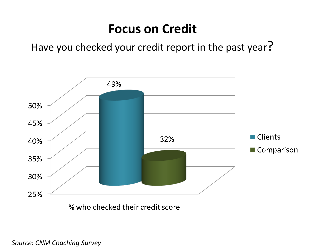#### **Focus on Credit**

Have you checked your credit report in the past year?



% who checked their credit score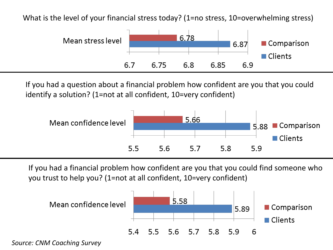What is the level of your financial stress today? (1=no stress, 10=overwhelming stress)



If you had a question about a financial problem how confident are you that you could identify a solution? (1=not at all confident, 10=very confident)



If you had a financial problem how confident are you that you could find someone who you trust to help you? (1=not at all confident, 10=very confident)

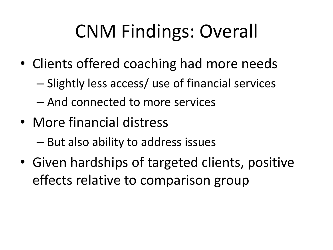# CNM Findings: Overall

- Clients offered coaching had more needs
	- Slightly less access/ use of financial services
	- And connected to more services
- More financial distress
	- But also ability to address issues
- Given hardships of targeted clients, positive effects relative to comparison group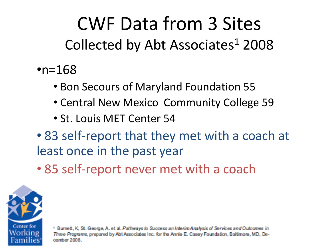## CWF Data from 3 Sites Collected by Abt Associates $1$  2008

- • $n=168$ 
	- Bon Secours of Maryland Foundation 55
	- Central New Mexico Community College 59
	- St. Louis MET Center 54
- 83 self-report that they met with a coach at least once in the past year
- 85 self-report never met with a coach



<sup>1</sup> Burnett, K, St. George, A. et al. Pathways to Success an Interim Analysis of Services and Outcomes in Three Programs, prepared by Abt Associates Inc. for the Annie E. Casey Foundation, Baltimore, MD, December 2008.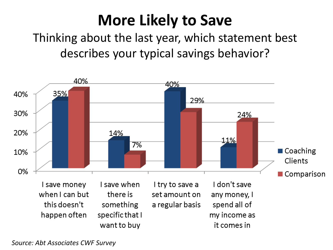### **More Likely to Save**

Thinking about the last year, which statement best describes your typical savings behavior?



*Source: Abt Associates CWF Survey*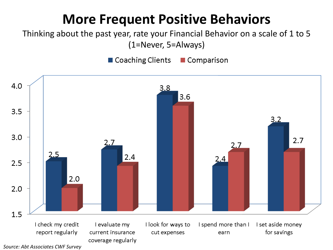### **More Frequent Positive Behaviors**

Thinking about the past year, rate your Financial Behavior on a scale of 1 to 5 (1=Never, 5=Always)

■ Coaching Clients ■ Comparison



*Source: Abt Associates CWF Survey*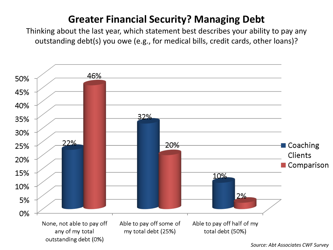#### **Greater Financial Security? Managing Debt**

Thinking about the last year, which statement best describes your ability to pay any outstanding debt(s) you owe (e.g., for medical bills, credit cards, other loans)?



*Source: Abt Associates CWF Survey*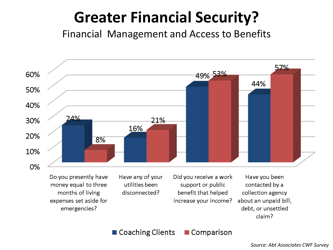### **Greater Financial Security?**

Financial Management and Access to Benefits



■ Coaching Clients  $\blacksquare$  Comparison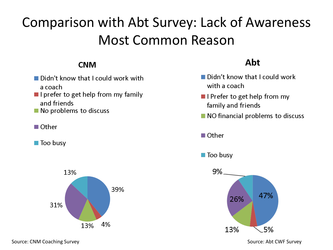### Comparison with Abt Survey: Lack of Awareness Most Common Reason

#### **CNM**

- Didn't know that I could work with a coach.
- $\blacksquare$  I prefer to get help from my family and friends
- $\blacksquare$  No problems to discuss
- $\blacksquare$  Other
- $\blacksquare$  Too busy



#### Abt

- Didn't know that I could work with a coach
- $\blacksquare$  I Prefer to get help from my family and friends
- NO financial problems to discuss
- $\blacksquare$  Other



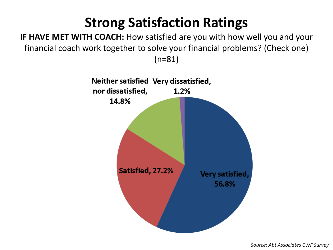### **Strong Satisfaction Ratings**

**IF HAVE MET WITH COACH:** How satisfied are you with how well you and your financial coach work together to solve your financial problems? (Check one) (n=81)

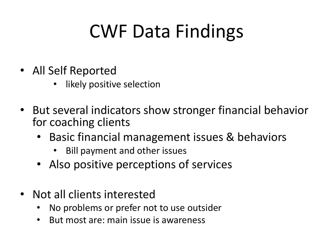# CWF Data Findings

- All Self Reported
	- likely positive selection
- But several indicators show stronger financial behavior for coaching clients
	- Basic financial management issues & behaviors
		- Bill payment and other issues
	- Also positive perceptions of services
- Not all clients interested
	- No problems or prefer not to use outsider
	- But most are: main issue is awareness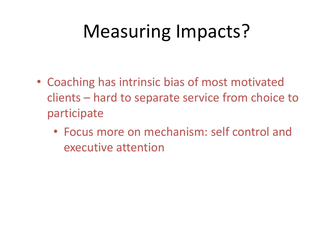# Measuring Impacts?

- Coaching has intrinsic bias of most motivated clients – hard to separate service from choice to participate
	- Focus more on mechanism: self control and executive attention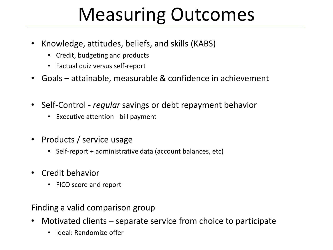# Measuring Outcomes

- Knowledge, attitudes, beliefs, and skills (KABS)
	- Credit, budgeting and products
	- Factual quiz versus self-report
- Goals attainable, measurable & confidence in achievement
- Self-Control *regular* savings or debt repayment behavior
	- Executive attention bill payment
- Products / service usage
	- Self-report + administrative data (account balances, etc)
- Credit behavior
	- FICO score and report

Finding a valid comparison group

- Motivated clients separate service from choice to participate
	- Ideal: Randomize offer